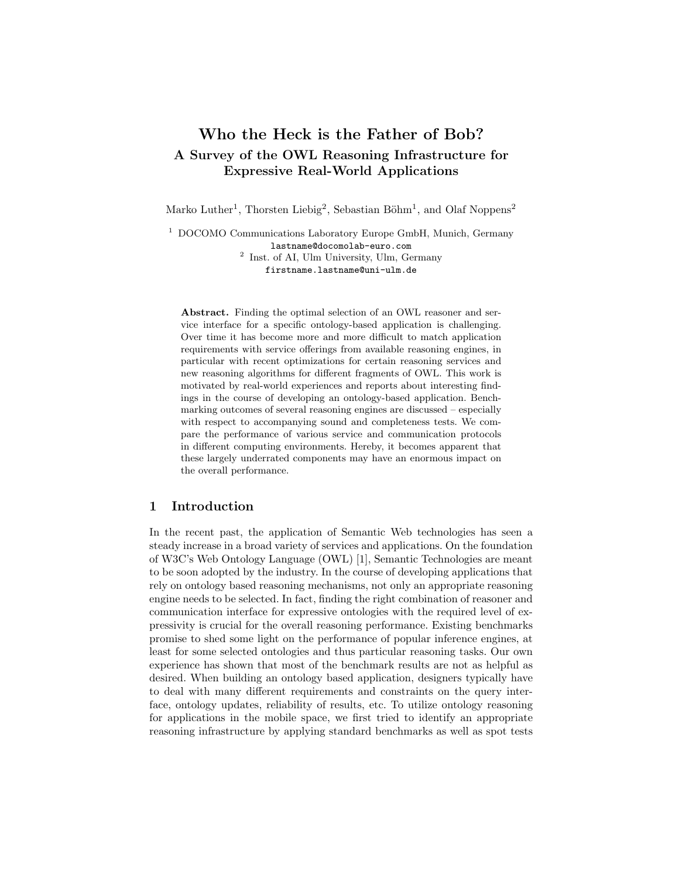# Who the Heck is the Father of Bob? A Survey of the OWL Reasoning Infrastructure for Expressive Real-World Applications

Marko Luther<sup>1</sup>, Thorsten Liebig<sup>2</sup>, Sebastian Böhm<sup>1</sup>, and Olaf Noppens<sup>2</sup>

<sup>1</sup> DOCOMO Communications Laboratory Europe GmbH, Munich, Germany lastname@docomolab-euro.com <sup>2</sup> Inst. of AI, Ulm University, Ulm, Germany firstname.lastname@uni-ulm.de

Abstract. Finding the optimal selection of an OWL reasoner and service interface for a specific ontology-based application is challenging. Over time it has become more and more difficult to match application requirements with service offerings from available reasoning engines, in particular with recent optimizations for certain reasoning services and new reasoning algorithms for different fragments of OWL. This work is motivated by real-world experiences and reports about interesting findings in the course of developing an ontology-based application. Benchmarking outcomes of several reasoning engines are discussed – especially with respect to accompanying sound and completeness tests. We compare the performance of various service and communication protocols in different computing environments. Hereby, it becomes apparent that these largely underrated components may have an enormous impact on the overall performance.

## 1 Introduction

In the recent past, the application of Semantic Web technologies has seen a steady increase in a broad variety of services and applications. On the foundation of W3C's Web Ontology Language (OWL) [1], Semantic Technologies are meant to be soon adopted by the industry. In the course of developing applications that rely on ontology based reasoning mechanisms, not only an appropriate reasoning engine needs to be selected. In fact, finding the right combination of reasoner and communication interface for expressive ontologies with the required level of expressivity is crucial for the overall reasoning performance. Existing benchmarks promise to shed some light on the performance of popular inference engines, at least for some selected ontologies and thus particular reasoning tasks. Our own experience has shown that most of the benchmark results are not as helpful as desired. When building an ontology based application, designers typically have to deal with many different requirements and constraints on the query interface, ontology updates, reliability of results, etc. To utilize ontology reasoning for applications in the mobile space, we first tried to identify an appropriate reasoning infrastructure by applying standard benchmarks as well as spot tests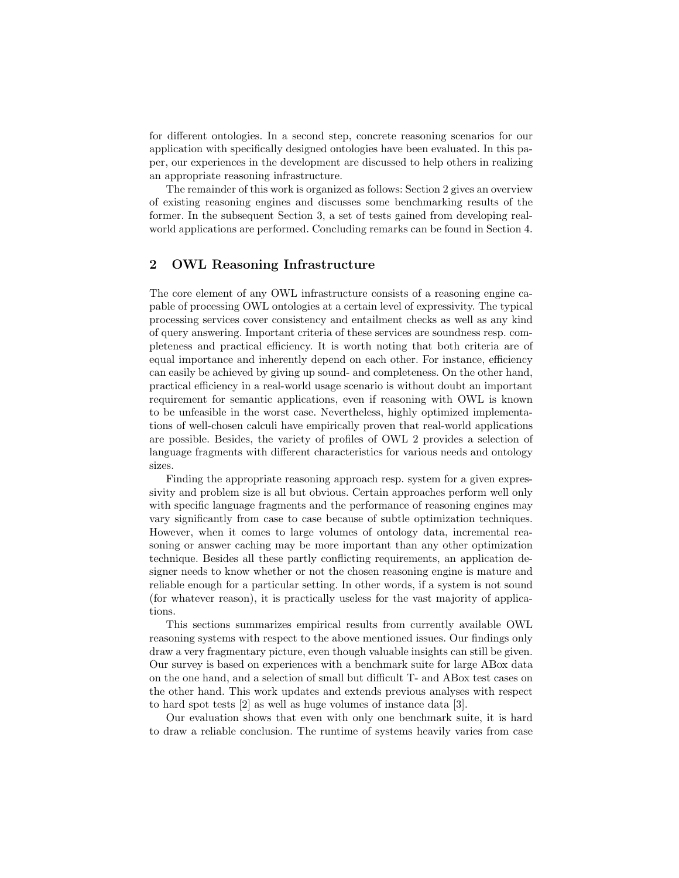for different ontologies. In a second step, concrete reasoning scenarios for our application with specifically designed ontologies have been evaluated. In this paper, our experiences in the development are discussed to help others in realizing an appropriate reasoning infrastructure.

The remainder of this work is organized as follows: Section 2 gives an overview of existing reasoning engines and discusses some benchmarking results of the former. In the subsequent Section 3, a set of tests gained from developing realworld applications are performed. Concluding remarks can be found in Section 4.

# 2 OWL Reasoning Infrastructure

The core element of any OWL infrastructure consists of a reasoning engine capable of processing OWL ontologies at a certain level of expressivity. The typical processing services cover consistency and entailment checks as well as any kind of query answering. Important criteria of these services are soundness resp. completeness and practical efficiency. It is worth noting that both criteria are of equal importance and inherently depend on each other. For instance, efficiency can easily be achieved by giving up sound- and completeness. On the other hand, practical efficiency in a real-world usage scenario is without doubt an important requirement for semantic applications, even if reasoning with OWL is known to be unfeasible in the worst case. Nevertheless, highly optimized implementations of well-chosen calculi have empirically proven that real-world applications are possible. Besides, the variety of profiles of OWL 2 provides a selection of language fragments with different characteristics for various needs and ontology sizes.

Finding the appropriate reasoning approach resp. system for a given expressivity and problem size is all but obvious. Certain approaches perform well only with specific language fragments and the performance of reasoning engines may vary significantly from case to case because of subtle optimization techniques. However, when it comes to large volumes of ontology data, incremental reasoning or answer caching may be more important than any other optimization technique. Besides all these partly conflicting requirements, an application designer needs to know whether or not the chosen reasoning engine is mature and reliable enough for a particular setting. In other words, if a system is not sound (for whatever reason), it is practically useless for the vast majority of applications.

This sections summarizes empirical results from currently available OWL reasoning systems with respect to the above mentioned issues. Our findings only draw a very fragmentary picture, even though valuable insights can still be given. Our survey is based on experiences with a benchmark suite for large ABox data on the one hand, and a selection of small but difficult T- and ABox test cases on the other hand. This work updates and extends previous analyses with respect to hard spot tests [2] as well as huge volumes of instance data [3].

Our evaluation shows that even with only one benchmark suite, it is hard to draw a reliable conclusion. The runtime of systems heavily varies from case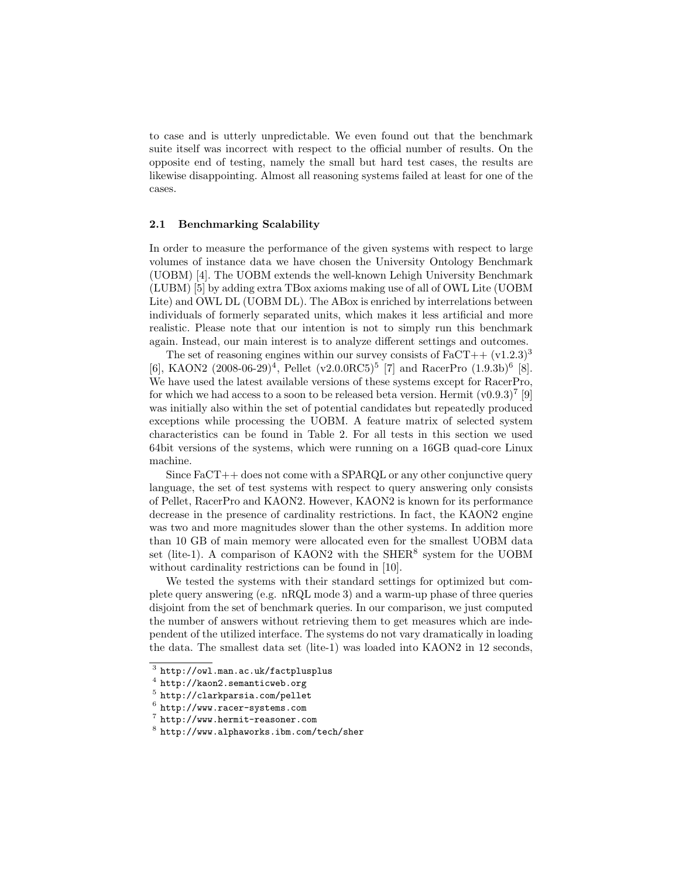to case and is utterly unpredictable. We even found out that the benchmark suite itself was incorrect with respect to the official number of results. On the opposite end of testing, namely the small but hard test cases, the results are likewise disappointing. Almost all reasoning systems failed at least for one of the cases.

#### 2.1 Benchmarking Scalability

In order to measure the performance of the given systems with respect to large volumes of instance data we have chosen the University Ontology Benchmark (UOBM) [4]. The UOBM extends the well-known Lehigh University Benchmark (LUBM) [5] by adding extra TBox axioms making use of all of OWL Lite (UOBM Lite) and OWL DL (UOBM DL). The ABox is enriched by interrelations between individuals of formerly separated units, which makes it less artificial and more realistic. Please note that our intention is not to simply run this benchmark again. Instead, our main interest is to analyze different settings and outcomes.

The set of reasoning engines within our survey consists of  $F_aCT++ (v1.2.3)^3$ [6], KAON2  $(2008-06-29)^4$ , Pellet  $(v2.0.0RC5)^5$  [7] and RacerPro  $(1.9.3b)^6$  [8]. We have used the latest available versions of these systems except for RacerPro, for which we had access to a soon to be released beta version. Hermit  $(v0.9.3)^7$  [9] was initially also within the set of potential candidates but repeatedly produced exceptions while processing the UOBM. A feature matrix of selected system characteristics can be found in Table 2. For all tests in this section we used 64bit versions of the systems, which were running on a 16GB quad-core Linux machine.

Since FaCT++ does not come with a SPARQL or any other conjunctive query language, the set of test systems with respect to query answering only consists of Pellet, RacerPro and KAON2. However, KAON2 is known for its performance decrease in the presence of cardinality restrictions. In fact, the KAON2 engine was two and more magnitudes slower than the other systems. In addition more than 10 GB of main memory were allocated even for the smallest UOBM data set (lite-1). A comparison of KAON2 with the SHER<sup>8</sup> system for the UOBM without cardinality restrictions can be found in [10].

We tested the systems with their standard settings for optimized but complete query answering (e.g. nRQL mode 3) and a warm-up phase of three queries disjoint from the set of benchmark queries. In our comparison, we just computed the number of answers without retrieving them to get measures which are independent of the utilized interface. The systems do not vary dramatically in loading the data. The smallest data set (lite-1) was loaded into KAON2 in 12 seconds,

 $^3$  http://owl.man.ac.uk/factplusplus

 $^4$  http://kaon $2.\,\mathrm{s}$ emanticweb.org

<sup>5</sup> http://clarkparsia.com/pellet

 $^6$  http://www.racer-systems.com

<sup>7</sup> http://www.hermit-reasoner.com

<sup>8</sup> http://www.alphaworks.ibm.com/tech/sher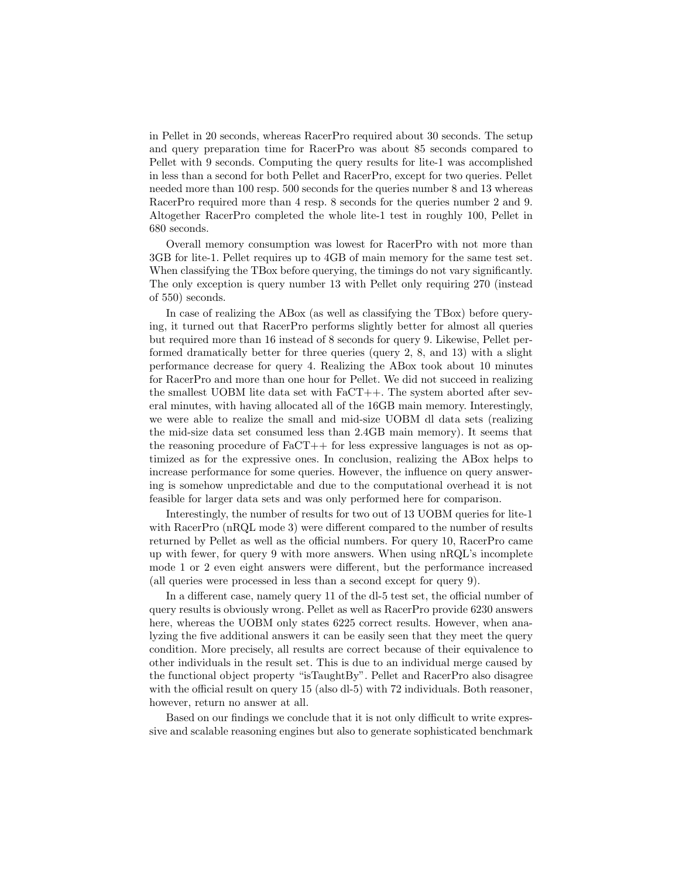in Pellet in 20 seconds, whereas RacerPro required about 30 seconds. The setup and query preparation time for RacerPro was about 85 seconds compared to Pellet with 9 seconds. Computing the query results for lite-1 was accomplished in less than a second for both Pellet and RacerPro, except for two queries. Pellet needed more than 100 resp. 500 seconds for the queries number 8 and 13 whereas RacerPro required more than 4 resp. 8 seconds for the queries number 2 and 9. Altogether RacerPro completed the whole lite-1 test in roughly 100, Pellet in 680 seconds.

Overall memory consumption was lowest for RacerPro with not more than 3GB for lite-1. Pellet requires up to 4GB of main memory for the same test set. When classifying the TBox before querying, the timings do not vary significantly. The only exception is query number 13 with Pellet only requiring 270 (instead of 550) seconds.

In case of realizing the ABox (as well as classifying the TBox) before querying, it turned out that RacerPro performs slightly better for almost all queries but required more than 16 instead of 8 seconds for query 9. Likewise, Pellet performed dramatically better for three queries (query 2, 8, and 13) with a slight performance decrease for query 4. Realizing the ABox took about 10 minutes for RacerPro and more than one hour for Pellet. We did not succeed in realizing the smallest UOBM lite data set with FaCT++. The system aborted after several minutes, with having allocated all of the 16GB main memory. Interestingly, we were able to realize the small and mid-size UOBM dl data sets (realizing the mid-size data set consumed less than 2.4GB main memory). It seems that the reasoning procedure of  $FaCT++$  for less expressive languages is not as optimized as for the expressive ones. In conclusion, realizing the ABox helps to increase performance for some queries. However, the influence on query answering is somehow unpredictable and due to the computational overhead it is not feasible for larger data sets and was only performed here for comparison.

Interestingly, the number of results for two out of 13 UOBM queries for lite-1 with RacerPro (nRQL mode 3) were different compared to the number of results returned by Pellet as well as the official numbers. For query 10, RacerPro came up with fewer, for query 9 with more answers. When using nRQL's incomplete mode 1 or 2 even eight answers were different, but the performance increased (all queries were processed in less than a second except for query 9).

In a different case, namely query 11 of the dl-5 test set, the official number of query results is obviously wrong. Pellet as well as RacerPro provide 6230 answers here, whereas the UOBM only states 6225 correct results. However, when analyzing the five additional answers it can be easily seen that they meet the query condition. More precisely, all results are correct because of their equivalence to other individuals in the result set. This is due to an individual merge caused by the functional object property "isTaughtBy". Pellet and RacerPro also disagree with the official result on query 15 (also dl-5) with 72 individuals. Both reasoner, however, return no answer at all.

Based on our findings we conclude that it is not only difficult to write expressive and scalable reasoning engines but also to generate sophisticated benchmark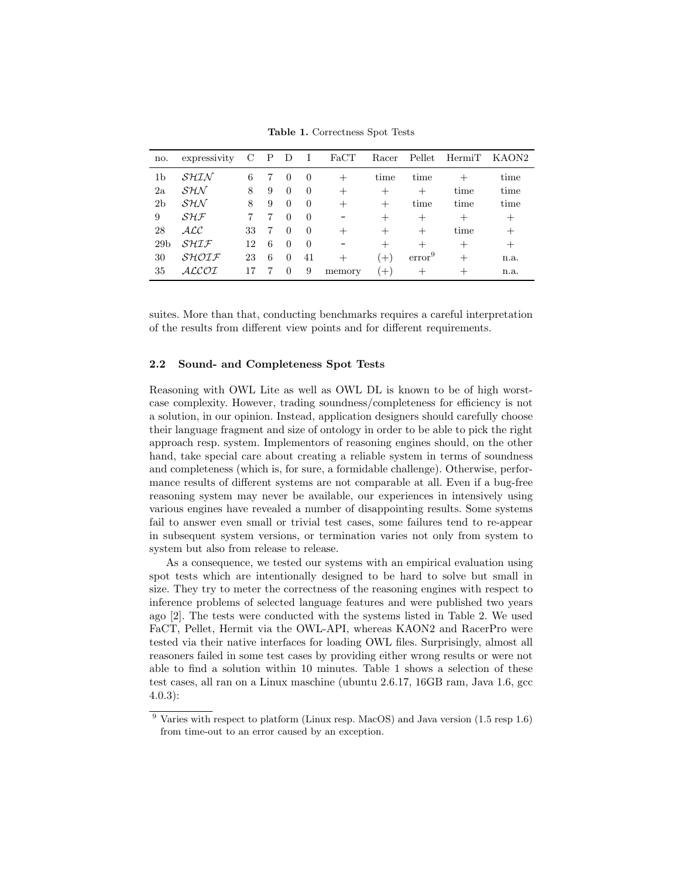| no.             | expressivity                          | С  | Ρ | $\Box$         | 1              | FaCT   | Racer  | Pellet             | HermiT | KAON2              |
|-----------------|---------------------------------------|----|---|----------------|----------------|--------|--------|--------------------|--------|--------------------|
| 1b              | SHIN                                  | 6  |   | $\theta$       | $\theta$       | $^{+}$ | time   | time               |        | time               |
| 2a              | SHN                                   | 8  | 9 | 0              | $\overline{0}$ | $^{+}$ | $^{+}$ | $^{+}$             | time   | time               |
| 2 <sub>b</sub>  | SHN                                   | 8  | 9 | $\overline{0}$ | $\Omega$       | $^+$   | $^+$   | time               | time   | time               |
| 9               | $\mathcal{S} \mathcal{H} \mathcal{F}$ |    | 7 | $\Omega$       | 0              |        | $^+$   | $^{+}$             | $^+$   | $^{+}$             |
| 28              | $\cal{ALC}$                           | 33 | 7 | $\Omega$       | $\Omega$       | $^+$   | $^+$   | $^+$               | time   | $\hspace{0.1mm} +$ |
| 29 <sub>b</sub> | SHIF                                  | 12 | 6 | $\Omega$       | $\Omega$       |        | $^+$   | $^{+}$             | $^+$   | $^{+}$             |
| 30              | SHOIF                                 | 23 | 6 | $\overline{0}$ | 41             | $^+$   | $(+)$  | error <sup>9</sup> | $^+$   | n.a.               |
| 35              | <i>ALCOI</i>                          | 17 |   | $\theta$       | 9              | memory | $(+)$  | $^{+}$             |        | n.a.               |

Table 1. Correctness Spot Tests

suites. More than that, conducting benchmarks requires a careful interpretation of the results from different view points and for different requirements.

#### 2.2 Sound- and Completeness Spot Tests

Reasoning with OWL Lite as well as OWL DL is known to be of high worstcase complexity. However, trading soundness/completeness for efficiency is not a solution, in our opinion. Instead, application designers should carefully choose their language fragment and size of ontology in order to be able to pick the right approach resp. system. Implementors of reasoning engines should, on the other hand, take special care about creating a reliable system in terms of soundness and completeness (which is, for sure, a formidable challenge). Otherwise, performance results of different systems are not comparable at all. Even if a bug-free reasoning system may never be available, our experiences in intensively using various engines have revealed a number of disappointing results. Some systems fail to answer even small or trivial test cases, some failures tend to re-appear in subsequent system versions, or termination varies not only from system to system but also from release to release.

As a consequence, we tested our systems with an empirical evaluation using spot tests which are intentionally designed to be hard to solve but small in size. They try to meter the correctness of the reasoning engines with respect to inference problems of selected language features and were published two years ago [2]. The tests were conducted with the systems listed in Table 2. We used FaCT, Pellet, Hermit via the OWL-API, whereas KAON2 and RacerPro were tested via their native interfaces for loading OWL files. Surprisingly, almost all reasoners failed in some test cases by providing either wrong results or were not able to find a solution within 10 minutes. Table 1 shows a selection of these test cases, all ran on a Linux maschine (ubuntu 2.6.17, 16GB ram, Java 1.6, gcc 4.0.3):

 $9$  Varies with respect to platform (Linux resp. MacOS) and Java version (1.5 resp 1.6) from time-out to an error caused by an exception.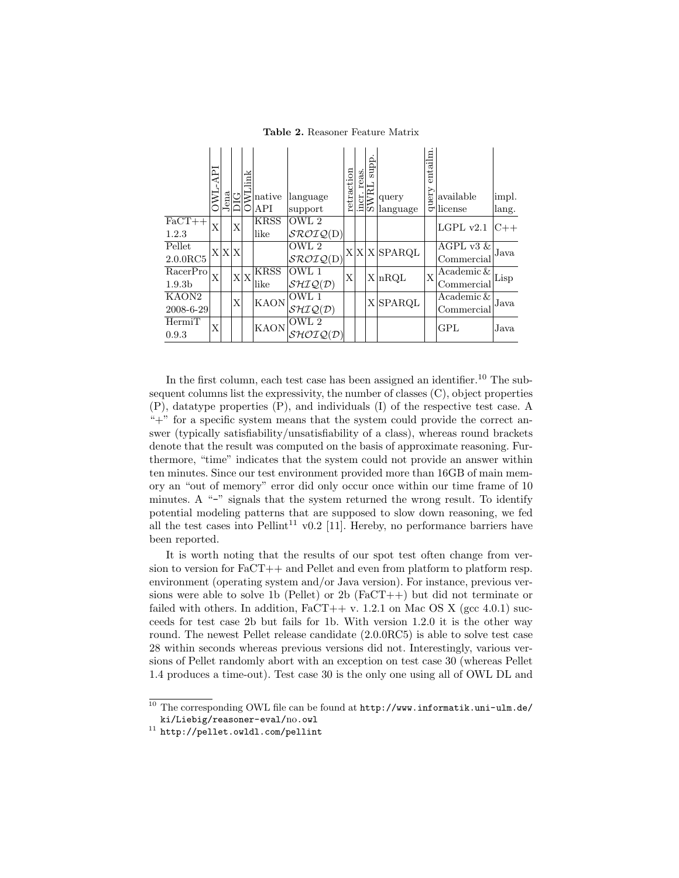Table 2. Reasoner Feature Matrix

|                                   | Š | $\frac{15}{10}$ |   | link | native<br>API | language<br>support           | retraction | eas.<br>Ξ. | supp.<br>ద్ | query<br>language | entailm.<br>query | available<br>license | impl.<br>lang. |  |
|-----------------------------------|---|-----------------|---|------|---------------|-------------------------------|------------|------------|-------------|-------------------|-------------------|----------------------|----------------|--|
| $\overline{\text{Fa}}\text{CT++}$ | X |                 | Х |      | <b>KRSS</b>   | OWL 2                         |            |            |             |                   |                   | LGPL v2.1            | $C++$          |  |
| 1.2.3                             |   |                 |   |      | like          | $\mathcal{SROIQ}(\mathrm{D})$ |            |            |             |                   |                   |                      |                |  |
| Pellet                            |   | X X X           |   |      |               | OWL 2                         |            |            |             | $X X $ SPARQL     |                   | AGPL v3 &            | Java           |  |
| $2.0.0$ RC5                       |   |                 |   |      |               | $\mathcal{SROIQ}(\mathrm{D})$ |            |            |             |                   |                   | Commercial           |                |  |
| RacerPro                          | X |                 |   | X X  | <b>KRSS</b>   | OWL 1                         | X          |            |             | X nRQL            | X                 | Academic &           | Lisp           |  |
| 1.9.3 <sub>b</sub>                |   |                 |   |      | like          | $\mathcal{SHIQ}(\mathcal{D})$ |            |            |             |                   |                   | Commercial           |                |  |
| $\overline{\text{KAON2}}$         |   |                 | X |      | <b>KAON</b>   | OWL 1                         |            |            |             | <b>X</b> SPARQL   |                   | $Academic \&$        | Java           |  |
| 2008-6-29                         |   |                 |   |      |               | $\mathcal{SHIQ}(\mathcal{D})$ |            |            |             |                   |                   | Commercial           |                |  |
| HermiT                            | X |                 |   |      | <b>KAON</b>   | OWL 2                         |            |            |             |                   |                   | <b>GPL</b>           | Java           |  |
| 0.9.3                             |   |                 |   |      |               | SHOIQ(D)                      |            |            |             |                   |                   |                      |                |  |

In the first column, each test case has been assigned an identifier.<sup>10</sup> The subsequent columns list the expressivity, the number of classes (C), object properties (P), datatype properties (P), and individuals (I) of the respective test case. A "+" for a specific system means that the system could provide the correct answer (typically satisfiability/unsatisfiability of a class), whereas round brackets denote that the result was computed on the basis of approximate reasoning. Furthermore, "time" indicates that the system could not provide an answer within ten minutes. Since our test environment provided more than 16GB of main memory an "out of memory" error did only occur once within our time frame of 10 minutes. A "-" signals that the system returned the wrong result. To identify potential modeling patterns that are supposed to slow down reasoning, we fed all the test cases into Pellint<sup>11</sup> v0.2 [11]. Hereby, no performance barriers have been reported.

It is worth noting that the results of our spot test often change from version to version for FaCT++ and Pellet and even from platform to platform resp. environment (operating system and/or Java version). For instance, previous versions were able to solve 1b (Pellet) or 2b ( $FaCT++$ ) but did not terminate or failed with others. In addition,  $FaCT++v.$  1.2.1 on Mac OS X (gcc 4.0.1) succeeds for test case 2b but fails for 1b. With version 1.2.0 it is the other way round. The newest Pellet release candidate (2.0.0RC5) is able to solve test case 28 within seconds whereas previous versions did not. Interestingly, various versions of Pellet randomly abort with an exception on test case 30 (whereas Pellet 1.4 produces a time-out). Test case 30 is the only one using all of OWL DL and

 $^{10}$  The corresponding OWL file can be found at  $\mathtt{http://www.informatik.uni-ulm.de/}$ ki/Liebig/reasoner-eval/no.owl

<sup>11</sup> http://pellet.owldl.com/pellint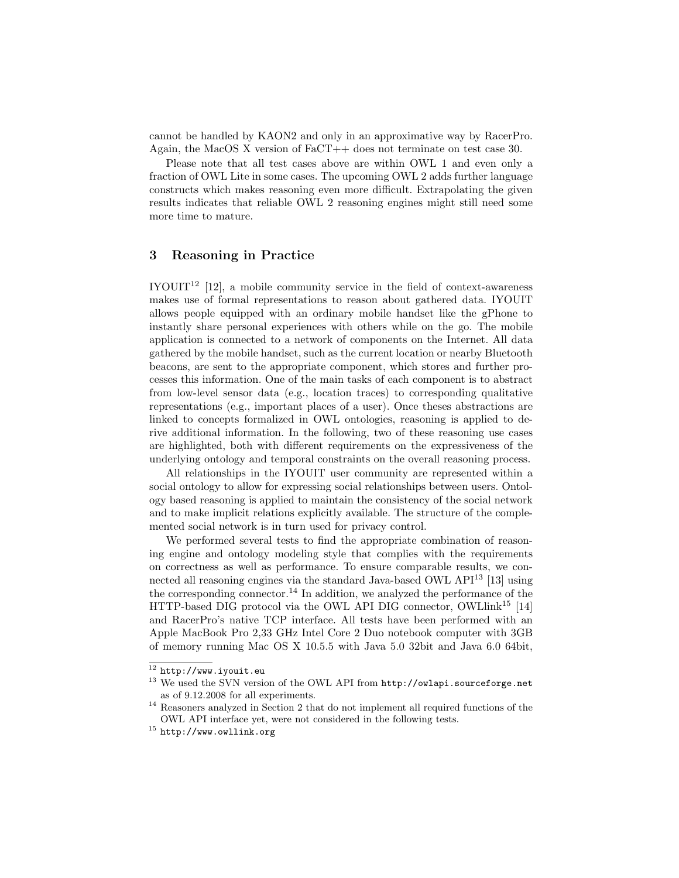cannot be handled by KAON2 and only in an approximative way by RacerPro. Again, the MacOS X version of FaCT++ does not terminate on test case 30.

Please note that all test cases above are within OWL 1 and even only a fraction of OWL Lite in some cases. The upcoming OWL 2 adds further language constructs which makes reasoning even more difficult. Extrapolating the given results indicates that reliable OWL 2 reasoning engines might still need some more time to mature.

# 3 Reasoning in Practice

IYOUIT<sup>12</sup> [12], a mobile community service in the field of context-awareness makes use of formal representations to reason about gathered data. IYOUIT allows people equipped with an ordinary mobile handset like the gPhone to instantly share personal experiences with others while on the go. The mobile application is connected to a network of components on the Internet. All data gathered by the mobile handset, such as the current location or nearby Bluetooth beacons, are sent to the appropriate component, which stores and further processes this information. One of the main tasks of each component is to abstract from low-level sensor data (e.g., location traces) to corresponding qualitative representations (e.g., important places of a user). Once theses abstractions are linked to concepts formalized in OWL ontologies, reasoning is applied to derive additional information. In the following, two of these reasoning use cases are highlighted, both with different requirements on the expressiveness of the underlying ontology and temporal constraints on the overall reasoning process.

All relationships in the IYOUIT user community are represented within a social ontology to allow for expressing social relationships between users. Ontology based reasoning is applied to maintain the consistency of the social network and to make implicit relations explicitly available. The structure of the complemented social network is in turn used for privacy control.

We performed several tests to find the appropriate combination of reasoning engine and ontology modeling style that complies with the requirements on correctness as well as performance. To ensure comparable results, we connected all reasoning engines via the standard Java-based OWL API<sup>13</sup> [13] using the corresponding connector.<sup>14</sup> In addition, we analyzed the performance of the HTTP-based DIG protocol via the OWL API DIG connector, OWLlink<sup>15</sup> [14] and RacerPro's native TCP interface. All tests have been performed with an Apple MacBook Pro 2,33 GHz Intel Core 2 Duo notebook computer with 3GB of memory running Mac OS X 10.5.5 with Java 5.0 32bit and Java 6.0 64bit,

 $\overline{12}$  http://www.iyouit.eu

<sup>&</sup>lt;sup>13</sup> We used the SVN version of the OWL API from http://owlapi.sourceforge.net as of 9.12.2008 for all experiments.

<sup>14</sup> Reasoners analyzed in Section 2 that do not implement all required functions of the OWL API interface yet, were not considered in the following tests.

 $^{15}$  http://www.owllink.org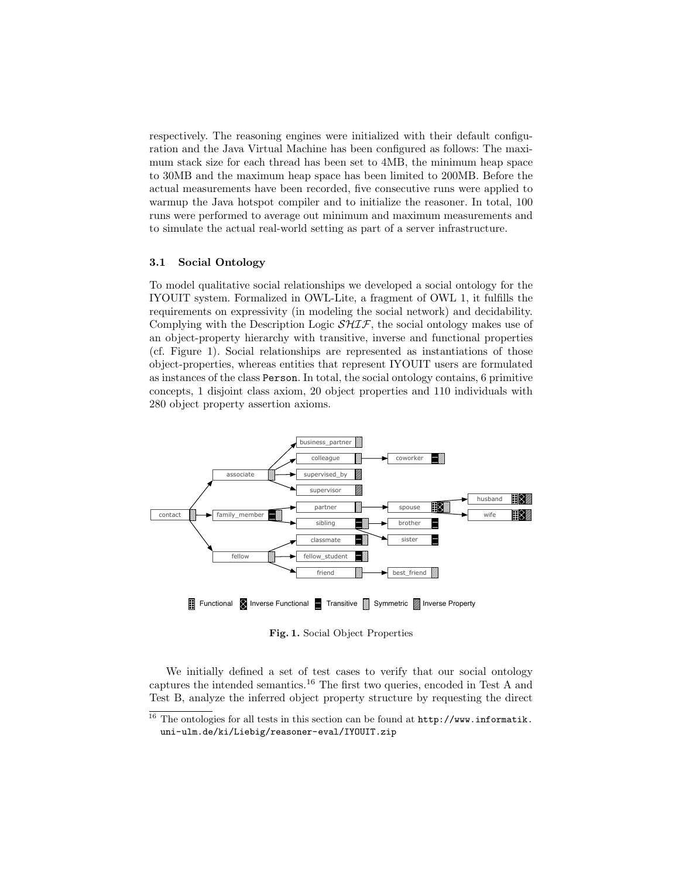respectively. The reasoning engines were initialized with their default configuration and the Java Virtual Machine has been configured as follows: The maximum stack size for each thread has been set to 4MB, the minimum heap space to 30MB and the maximum heap space has been limited to 200MB. Before the actual measurements have been recorded, five consecutive runs were applied to warmup the Java hotspot compiler and to initialize the reasoner. In total, 100 runs were performed to average out minimum and maximum measurements and to simulate the actual real-world setting as part of a server infrastructure.

#### 3.1 Social Ontology

To model qualitative social relationships we developed a social ontology for the IYOUIT system. Formalized in OWL-Lite, a fragment of OWL 1, it fulfills the requirements on expressivity (in modeling the social network) and decidability. Complying with the Description Logic  $\mathcal{SHT}$ , the social ontology makes use of an object-property hierarchy with transitive, inverse and functional properties (cf. Figure 1). Social relationships are represented as instantiations of those object-properties, whereas entities that represent IYOUIT users are formulated as instances of the class Person. In total, the social ontology contains, 6 primitive concepts, 1 disjoint class axiom, 20 object properties and 110 individuals with 280 object property assertion axioms.



Fig. 1. Social Object Properties

We initially defined a set of test cases to verify that our social ontology captures the intended semantics.<sup>16</sup> The first two queries, encoded in Test A and Test B, analyze the inferred object property structure by requesting the direct

 $16$  The ontologies for all tests in this section can be found at  $http://www.informatik.$ uni-ulm.de/ki/Liebig/reasoner-eval/IYOUIT.zip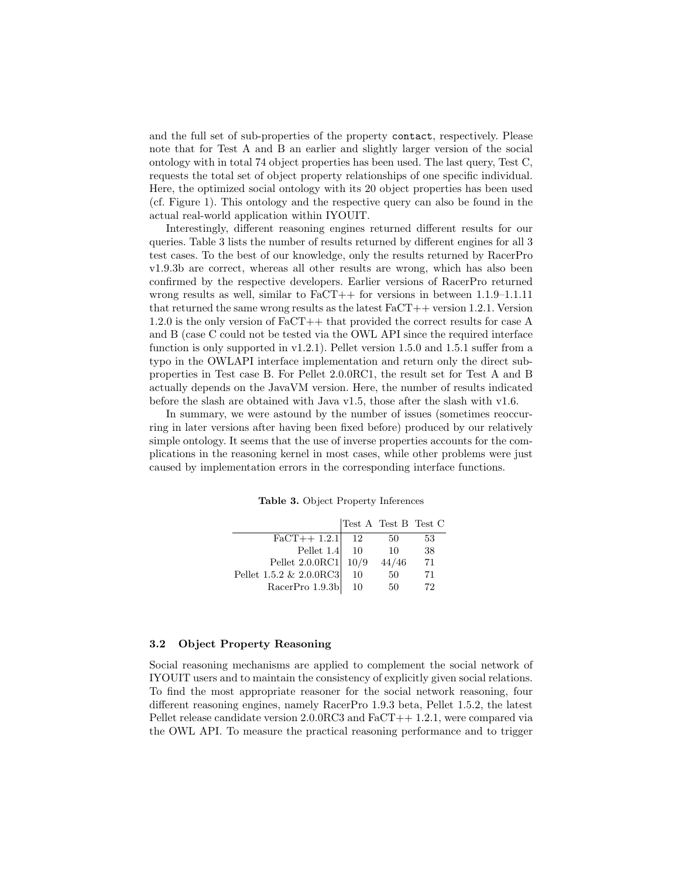and the full set of sub-properties of the property contact, respectively. Please note that for Test A and B an earlier and slightly larger version of the social ontology with in total 74 object properties has been used. The last query, Test C, requests the total set of object property relationships of one specific individual. Here, the optimized social ontology with its 20 object properties has been used (cf. Figure 1). This ontology and the respective query can also be found in the actual real-world application within IYOUIT.

Interestingly, different reasoning engines returned different results for our queries. Table 3 lists the number of results returned by different engines for all 3 test cases. To the best of our knowledge, only the results returned by RacerPro v1.9.3b are correct, whereas all other results are wrong, which has also been confirmed by the respective developers. Earlier versions of RacerPro returned wrong results as well, similar to  $FaCT++$  for versions in between 1.1.9–1.1.11 that returned the same wrong results as the latest FaCT++ version 1.2.1. Version 1.2.0 is the only version of FaCT++ that provided the correct results for case A and B (case C could not be tested via the OWL API since the required interface function is only supported in v1.2.1). Pellet version 1.5.0 and 1.5.1 suffer from a typo in the OWLAPI interface implementation and return only the direct subproperties in Test case B. For Pellet 2.0.0RC1, the result set for Test A and B actually depends on the JavaVM version. Here, the number of results indicated before the slash are obtained with Java v1.5, those after the slash with v1.6.

In summary, we were astound by the number of issues (sometimes reoccurring in later versions after having been fixed before) produced by our relatively simple ontology. It seems that the use of inverse properties accounts for the complications in the reasoning kernel in most cases, while other problems were just caused by implementation errors in the corresponding interface functions.

|  |  |  | Table 3. Object Property Inferences |
|--|--|--|-------------------------------------|
|--|--|--|-------------------------------------|

|                           |      | Test A Test B Test C |    |
|---------------------------|------|----------------------|----|
| $FaCT++1.2.1$             | 12   | 50                   | 53 |
| Pellet $1.4$              | - 10 | 10                   | 38 |
| Pellet $2.0.0$ RC1 $10/9$ |      | 44/46                | 71 |
| Pellet 1.5.2 & 2.0.0RC3   | 10   | 50                   | 71 |
| RacerPro 1.9.3b           | 10   | 50                   | 72 |

#### 3.2 Object Property Reasoning

Social reasoning mechanisms are applied to complement the social network of IYOUIT users and to maintain the consistency of explicitly given social relations. To find the most appropriate reasoner for the social network reasoning, four different reasoning engines, namely RacerPro 1.9.3 beta, Pellet 1.5.2, the latest Pellet release candidate version  $2.0.0RC3$  and  $FaCT++1.2.1$ , were compared via the OWL API. To measure the practical reasoning performance and to trigger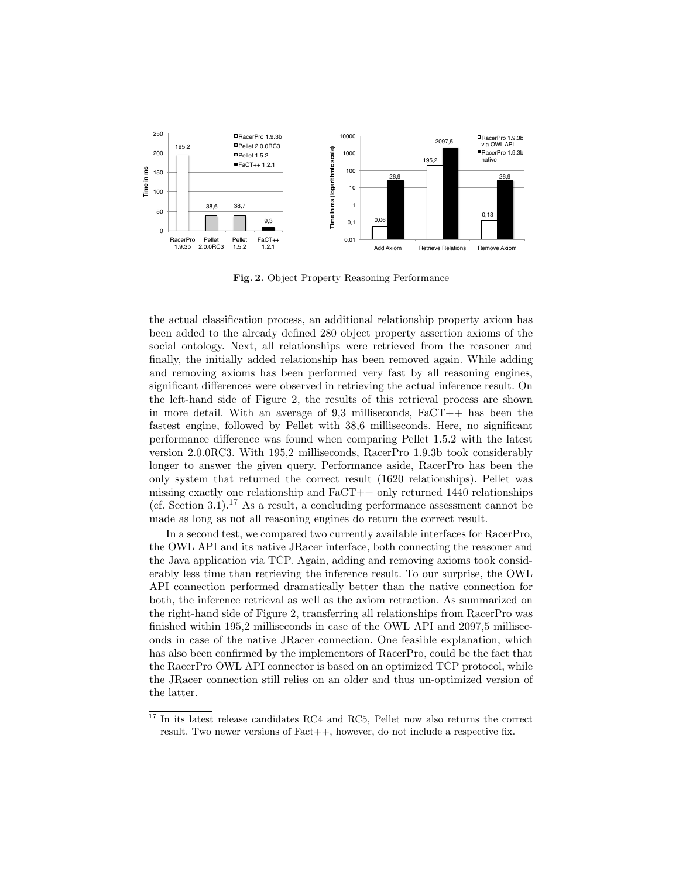

Fig. 2. Object Property Reasoning Performance

the actual classification process, an additional relationship property axiom has been added to the already defined 280 object property assertion axioms of the social ontology. Next, all relationships were retrieved from the reasoner and finally, the initially added relationship has been removed again. While adding and removing axioms has been performed very fast by all reasoning engines, significant differences were observed in retrieving the actual inference result. On the left-hand side of Figure 2, the results of this retrieval process are shown in more detail. With an average of  $9,3$  milliseconds,  $F_aCT++$  has been the fastest engine, followed by Pellet with 38,6 milliseconds. Here, no significant performance difference was found when comparing Pellet 1.5.2 with the latest version 2.0.0RC3. With 195,2 milliseconds, RacerPro 1.9.3b took considerably longer to answer the given query. Performance aside, RacerPro has been the only system that returned the correct result (1620 relationships). Pellet was missing exactly one relationship and  $F_aCT++$  only returned 1440 relationships (cf. Section 3.1).<sup>17</sup> As a result, a concluding performance assessment cannot be made as long as not all reasoning engines do return the correct result.

In a second test, we compared two currently available interfaces for RacerPro, the OWL API and its native JRacer interface, both connecting the reasoner and the Java application via TCP. Again, adding and removing axioms took considerably less time than retrieving the inference result. To our surprise, the OWL API connection performed dramatically better than the native connection for both, the inference retrieval as well as the axiom retraction. As summarized on the right-hand side of Figure 2, transferring all relationships from RacerPro was finished within 195,2 milliseconds in case of the OWL API and 2097,5 milliseconds in case of the native JRacer connection. One feasible explanation, which has also been confirmed by the implementors of RacerPro, could be the fact that the RacerPro OWL API connector is based on an optimized TCP protocol, while the JRacer connection still relies on an older and thus un-optimized version of the latter.

 $^{17}$  In its latest release candidates RC4 and RC5, Pellet now also returns the correct result. Two newer versions of Fact++, however, do not include a respective fix.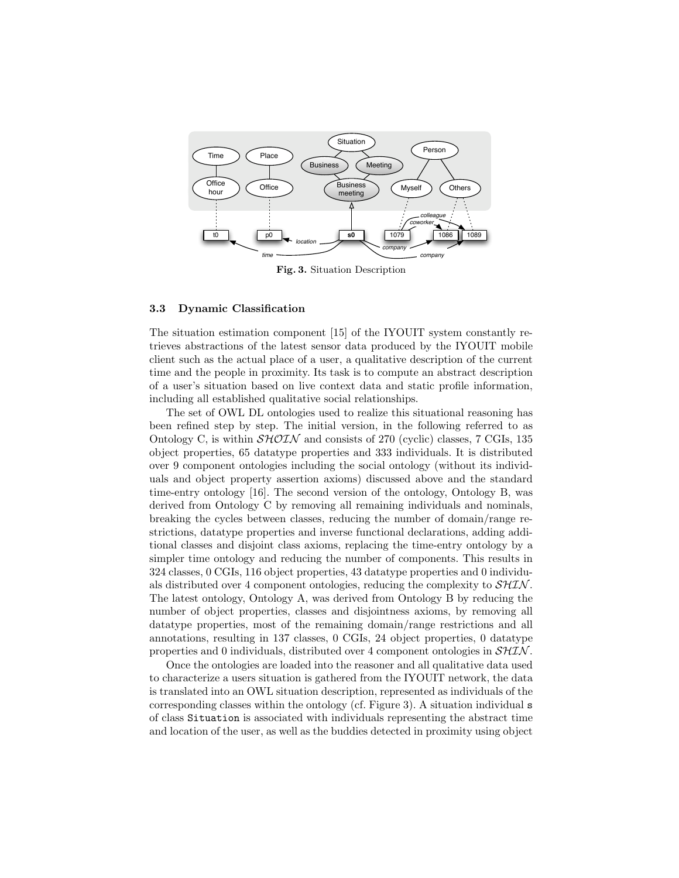

Fig. 3. Situation Description

#### 3.3 Dynamic Classification

The situation estimation component [15] of the IYOUIT system constantly retrieves abstractions of the latest sensor data produced by the IYOUIT mobile client such as the actual place of a user, a qualitative description of the current time and the people in proximity. Its task is to compute an abstract description of a user's situation based on live context data and static profile information, including all established qualitative social relationships.

The set of OWL DL ontologies used to realize this situational reasoning has been refined step by step. The initial version, in the following referred to as Ontology C, is within  $\mathcal{SHOLN}$  and consists of 270 (cyclic) classes, 7 CGIs, 135 object properties, 65 datatype properties and 333 individuals. It is distributed over 9 component ontologies including the social ontology (without its individuals and object property assertion axioms) discussed above and the standard time-entry ontology [16]. The second version of the ontology, Ontology B, was derived from Ontology C by removing all remaining individuals and nominals, breaking the cycles between classes, reducing the number of domain/range restrictions, datatype properties and inverse functional declarations, adding additional classes and disjoint class axioms, replacing the time-entry ontology by a simpler time ontology and reducing the number of components. This results in 324 classes, 0 CGIs, 116 object properties, 43 datatype properties and 0 individuals distributed over 4 component ontologies, reducing the complexity to  $\mathcal{SHLN}$ . The latest ontology, Ontology A, was derived from Ontology B by reducing the number of object properties, classes and disjointness axioms, by removing all datatype properties, most of the remaining domain/range restrictions and all annotations, resulting in 137 classes, 0 CGIs, 24 object properties, 0 datatype properties and 0 individuals, distributed over 4 component ontologies in  $\mathcal{SHIN}$ .

Once the ontologies are loaded into the reasoner and all qualitative data used to characterize a users situation is gathered from the IYOUIT network, the data is translated into an OWL situation description, represented as individuals of the corresponding classes within the ontology (cf. Figure 3). A situation individual s of class Situation is associated with individuals representing the abstract time and location of the user, as well as the buddies detected in proximity using object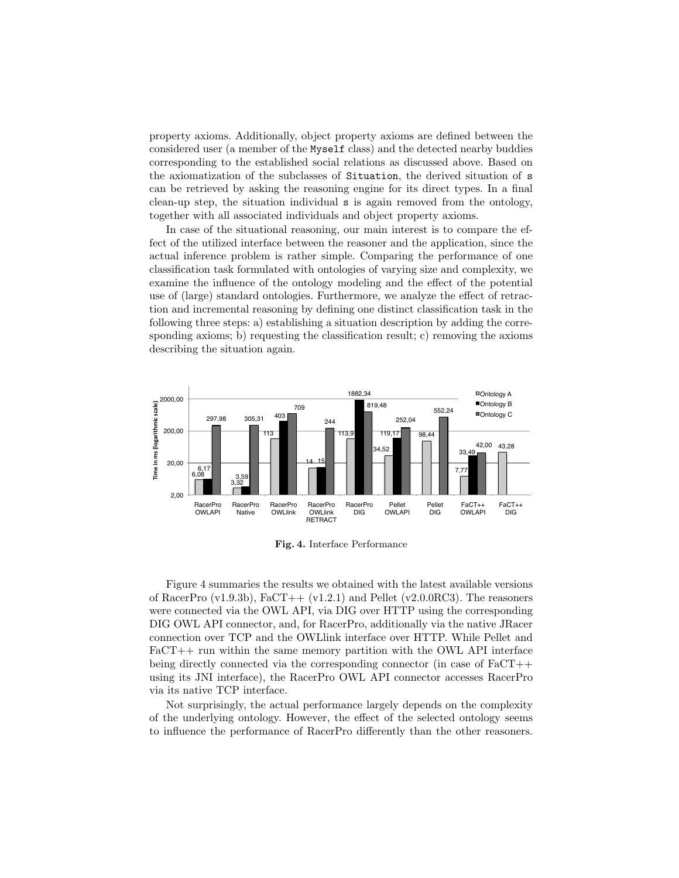property axioms. Additionally, object property axioms are defined between the considered user (a member of the Myself class) and the detected nearby buddies corresponding to the established social relations as discussed above. Based on the axiomatization of the subclasses of Situation, the derived situation of s can be retrieved by asking the reasoning engine for its direct types. In a final clean-up step, the situation individual s is again removed from the ontology, together with all associated individuals and object property axioms.

In case of the situational reasoning, our main interest is to compare the effect of the utilized interface between the reasoner and the application, since the actual inference problem is rather simple. Comparing the performance of one classification task formulated with ontologies of varying size and complexity, we examine the influence of the ontology modeling and the effect of the potential use of (large) standard ontologies. Furthermore, we analyze the effect of retraction and incremental reasoning by defining one distinct classification task in the following three steps: a) establishing a situation description by adding the corresponding axioms; b) requesting the classification result; c) removing the axioms describing the situation again.



Fig. 4. Interface Performance

Figure 4 summaries the results we obtained with the latest available versions of RacerPro (v1.9.3b),  $FaCT++$  (v1.2.1) and Pellet (v2.0.0RC3). The reasoners were connected via the OWL API, via DIG over HTTP using the corresponding DIG OWL API connector, and, for RacerPro, additionally via the native JRacer connection over TCP and the OWLlink interface over HTTP. While Pellet and FaCT++ run within the same memory partition with the OWL API interface being directly connected via the corresponding connector (in case of FaCT++ using its JNI interface), the RacerPro OWL API connector accesses RacerPro via its native TCP interface.

Not surprisingly, the actual performance largely depends on the complexity of the underlying ontology. However, the effect of the selected ontology seems to influence the performance of RacerPro differently than the other reasoners.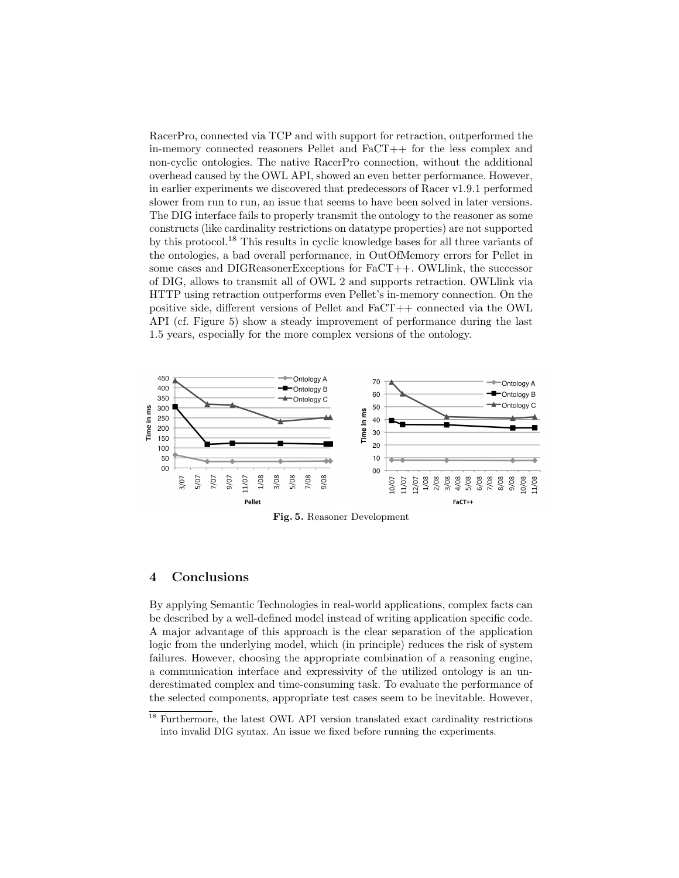RacerPro, connected via TCP and with support for retraction, outperformed the in-memory connected reasoners Pellet and FaCT++ for the less complex and non-cyclic ontologies. The native RacerPro connection, without the additional overhead caused by the OWL API, showed an even better performance. However, in earlier experiments we discovered that predecessors of Racer v1.9.1 performed slower from run to run, an issue that seems to have been solved in later versions. The DIG interface fails to properly transmit the ontology to the reasoner as some constructs (like cardinality restrictions on datatype properties) are not supported by this protocol.<sup>18</sup> This results in cyclic knowledge bases for all three variants of the ontologies, a bad overall performance, in OutOfMemory errors for Pellet in some cases and DIGReasonerExceptions for FaCT++. OWLlink, the successor of DIG, allows to transmit all of OWL 2 and supports retraction. OWLlink via HTTP using retraction outperforms even Pellet's in-memory connection. On the positive side, different versions of Pellet and FaCT++ connected via the OWL API (cf. Figure 5) show a steady improvement of performance during the last 1.5 years, especially for the more complex versions of the ontology.



## 4 Conclusions

By applying Semantic Technologies in real-world applications, complex facts can be described by a well-defined model instead of writing application specific code. A major advantage of this approach is the clear separation of the application logic from the underlying model, which (in principle) reduces the risk of system failures. However, choosing the appropriate combination of a reasoning engine, a communication interface and expressivity of the utilized ontology is an underestimated complex and time-consuming task. To evaluate the performance of the selected components, appropriate test cases seem to be inevitable. However,

<sup>18</sup> Furthermore, the latest OWL API version translated exact cardinality restrictions into invalid DIG syntax. An issue we fixed before running the experiments.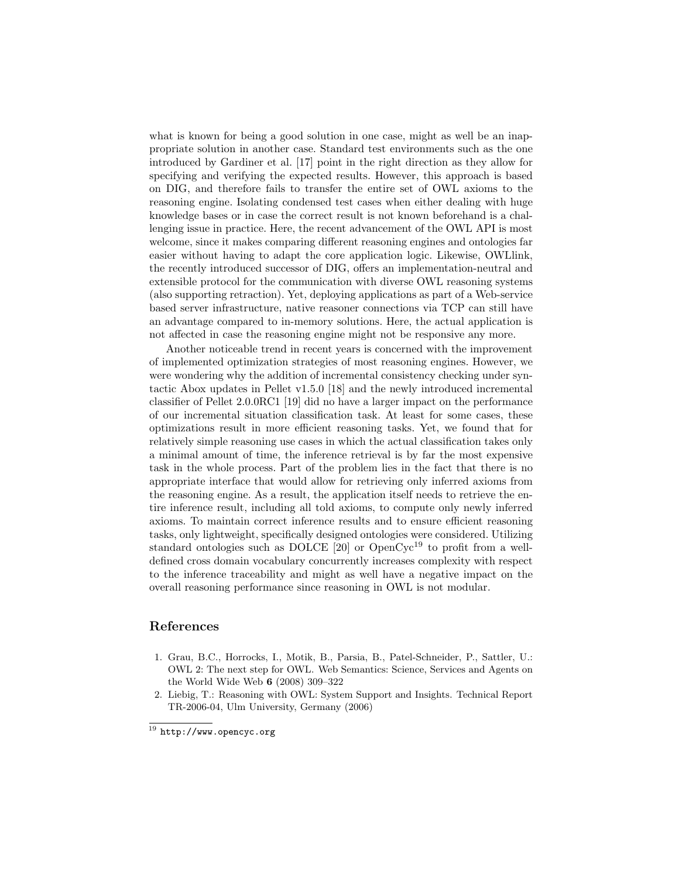what is known for being a good solution in one case, might as well be an inappropriate solution in another case. Standard test environments such as the one introduced by Gardiner et al. [17] point in the right direction as they allow for specifying and verifying the expected results. However, this approach is based on DIG, and therefore fails to transfer the entire set of OWL axioms to the reasoning engine. Isolating condensed test cases when either dealing with huge knowledge bases or in case the correct result is not known beforehand is a challenging issue in practice. Here, the recent advancement of the OWL API is most welcome, since it makes comparing different reasoning engines and ontologies far easier without having to adapt the core application logic. Likewise, OWLlink, the recently introduced successor of DIG, offers an implementation-neutral and extensible protocol for the communication with diverse OWL reasoning systems (also supporting retraction). Yet, deploying applications as part of a Web-service based server infrastructure, native reasoner connections via TCP can still have an advantage compared to in-memory solutions. Here, the actual application is not affected in case the reasoning engine might not be responsive any more.

Another noticeable trend in recent years is concerned with the improvement of implemented optimization strategies of most reasoning engines. However, we were wondering why the addition of incremental consistency checking under syntactic Abox updates in Pellet v1.5.0 [18] and the newly introduced incremental classifier of Pellet 2.0.0RC1 [19] did no have a larger impact on the performance of our incremental situation classification task. At least for some cases, these optimizations result in more efficient reasoning tasks. Yet, we found that for relatively simple reasoning use cases in which the actual classification takes only a minimal amount of time, the inference retrieval is by far the most expensive task in the whole process. Part of the problem lies in the fact that there is no appropriate interface that would allow for retrieving only inferred axioms from the reasoning engine. As a result, the application itself needs to retrieve the entire inference result, including all told axioms, to compute only newly inferred axioms. To maintain correct inference results and to ensure efficient reasoning tasks, only lightweight, specifically designed ontologies were considered. Utilizing standard ontologies such as DOLCE [20] or  $OpenCyc<sup>19</sup>$  to profit from a welldefined cross domain vocabulary concurrently increases complexity with respect to the inference traceability and might as well have a negative impact on the overall reasoning performance since reasoning in OWL is not modular.

## References

- 1. Grau, B.C., Horrocks, I., Motik, B., Parsia, B., Patel-Schneider, P., Sattler, U.: OWL 2: The next step for OWL. Web Semantics: Science, Services and Agents on the World Wide Web 6 (2008) 309–322
- 2. Liebig, T.: Reasoning with OWL: System Support and Insights. Technical Report TR-2006-04, Ulm University, Germany (2006)

 $\overline{19}$  http://www.opencyc.org